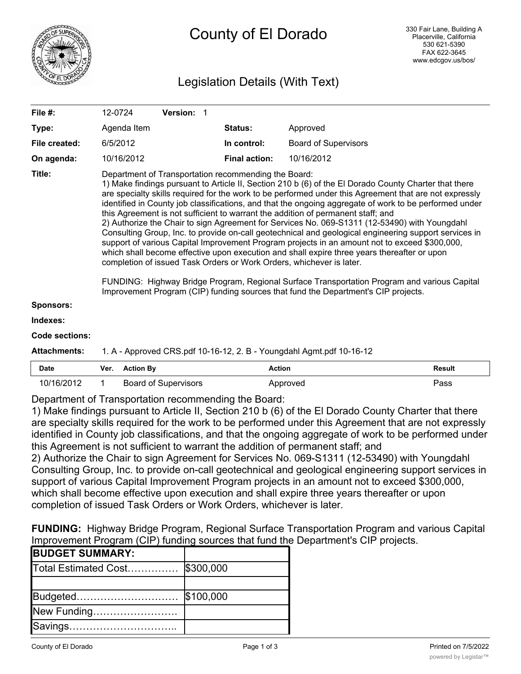

# County of El Dorado

# Legislation Details (With Text)

| File #:               | 12-0724                                                                                                                                                                                                                                                                                                                                                                                                                                                                                                                                                                                                                                                                                                                                                                                                                                                                                                                                                                                                                                                                                                                                       | <b>Version:</b> |                      |                             |  |
|-----------------------|-----------------------------------------------------------------------------------------------------------------------------------------------------------------------------------------------------------------------------------------------------------------------------------------------------------------------------------------------------------------------------------------------------------------------------------------------------------------------------------------------------------------------------------------------------------------------------------------------------------------------------------------------------------------------------------------------------------------------------------------------------------------------------------------------------------------------------------------------------------------------------------------------------------------------------------------------------------------------------------------------------------------------------------------------------------------------------------------------------------------------------------------------|-----------------|----------------------|-----------------------------|--|
| Type:                 | Agenda Item                                                                                                                                                                                                                                                                                                                                                                                                                                                                                                                                                                                                                                                                                                                                                                                                                                                                                                                                                                                                                                                                                                                                   |                 | <b>Status:</b>       | Approved                    |  |
| File created:         | 6/5/2012                                                                                                                                                                                                                                                                                                                                                                                                                                                                                                                                                                                                                                                                                                                                                                                                                                                                                                                                                                                                                                                                                                                                      |                 | In control:          | <b>Board of Supervisors</b> |  |
| On agenda:            | 10/16/2012                                                                                                                                                                                                                                                                                                                                                                                                                                                                                                                                                                                                                                                                                                                                                                                                                                                                                                                                                                                                                                                                                                                                    |                 | <b>Final action:</b> | 10/16/2012                  |  |
| Title:                | Department of Transportation recommending the Board:<br>1) Make findings pursuant to Article II, Section 210 b (6) of the EI Dorado County Charter that there<br>are specialty skills required for the work to be performed under this Agreement that are not expressly<br>identified in County job classifications, and that the ongoing aggregate of work to be performed under<br>this Agreement is not sufficient to warrant the addition of permanent staff; and<br>2) Authorize the Chair to sign Agreement for Services No. 069-S1311 (12-53490) with Youngdahl<br>Consulting Group, Inc. to provide on-call geotechnical and geological engineering support services in<br>support of various Capital Improvement Program projects in an amount not to exceed \$300,000,<br>which shall become effective upon execution and shall expire three years thereafter or upon<br>completion of issued Task Orders or Work Orders, whichever is later.<br>FUNDING: Highway Bridge Program, Regional Surface Transportation Program and various Capital<br>Improvement Program (CIP) funding sources that fund the Department's CIP projects. |                 |                      |                             |  |
| <b>Sponsors:</b>      |                                                                                                                                                                                                                                                                                                                                                                                                                                                                                                                                                                                                                                                                                                                                                                                                                                                                                                                                                                                                                                                                                                                                               |                 |                      |                             |  |
| Indexes:              |                                                                                                                                                                                                                                                                                                                                                                                                                                                                                                                                                                                                                                                                                                                                                                                                                                                                                                                                                                                                                                                                                                                                               |                 |                      |                             |  |
| <b>Code sections:</b> |                                                                                                                                                                                                                                                                                                                                                                                                                                                                                                                                                                                                                                                                                                                                                                                                                                                                                                                                                                                                                                                                                                                                               |                 |                      |                             |  |

#### **Attachments:** 1. A - Approved CRS.pdf 10-16-12, 2. B - Youngdahl Agmt.pdf 10-16-12

| <b>Date</b> | Ver. | Rv     | Actior<br>. | 'esult<br>. |
|-------------|------|--------|-------------|-------------|
| 10/16       |      | visors |             | Pass        |

Department of Transportation recommending the Board:

1) Make findings pursuant to Article II, Section 210 b (6) of the El Dorado County Charter that there are specialty skills required for the work to be performed under this Agreement that are not expressly identified in County job classifications, and that the ongoing aggregate of work to be performed under this Agreement is not sufficient to warrant the addition of permanent staff; and

2) Authorize the Chair to sign Agreement for Services No. 069-S1311 (12-53490) with Youngdahl Consulting Group, Inc. to provide on-call geotechnical and geological engineering support services in support of various Capital Improvement Program projects in an amount not to exceed \$300,000, which shall become effective upon execution and shall expire three years thereafter or upon completion of issued Task Orders or Work Orders, whichever is later.

**FUNDING:** Highway Bridge Program, Regional Surface Transportation Program and various Capital Improvement Program (CIP) funding sources that fund the Department's CIP projects.

| <b>BUDGET SUMMARY:</b>         |           |
|--------------------------------|-----------|
| Total Estimated Cost \$300,000 |           |
|                                |           |
| Budgeted                       | \$100,000 |
| New Funding                    |           |
| Savings                        |           |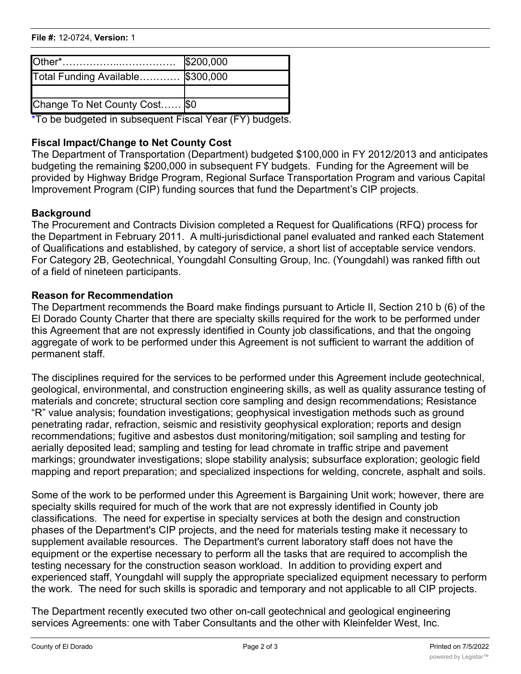# **File #:** 12-0724, Version: 1 Savings…………………………..

|                                   | \$200,000 |
|-----------------------------------|-----------|
| Total Funding Available \$300,000 |           |
|                                   |           |
| Change To Net County Cost \$0     |           |

\*To be budgeted in subsequent Fiscal Year (FY) budgets.

# **Fiscal Impact/Change to Net County Cost**

The Department of Transportation (Department) budgeted \$100,000 in FY 2012/2013 and anticipates budgeting the remaining \$200,000 in subsequent FY budgets. Funding for the Agreement will be provided by Highway Bridge Program, Regional Surface Transportation Program and various Capital Improvement Program (CIP) funding sources that fund the Department's CIP projects.

## **Background**

The Procurement and Contracts Division completed a Request for Qualifications (RFQ) process for the Department in February 2011. A multi-jurisdictional panel evaluated and ranked each Statement of Qualifications and established, by category of service, a short list of acceptable service vendors. For Category 2B, Geotechnical, Youngdahl Consulting Group, Inc. (Youngdahl) was ranked fifth out of a field of nineteen participants.

## **Reason for Recommendation**

The Department recommends the Board make findings pursuant to Article II, Section 210 b (6) of the El Dorado County Charter that there are specialty skills required for the work to be performed under this Agreement that are not expressly identified in County job classifications, and that the ongoing aggregate of work to be performed under this Agreement is not sufficient to warrant the addition of permanent staff.

The disciplines required for the services to be performed under this Agreement include geotechnical, geological, environmental, and construction engineering skills, as well as quality assurance testing of materials and concrete; structural section core sampling and design recommendations; Resistance "R" value analysis; foundation investigations; geophysical investigation methods such as ground penetrating radar, refraction, seismic and resistivity geophysical exploration; reports and design recommendations; fugitive and asbestos dust monitoring/mitigation; soil sampling and testing for aerially deposited lead; sampling and testing for lead chromate in traffic stripe and pavement markings; groundwater investigations; slope stability analysis; subsurface exploration; geologic field mapping and report preparation; and specialized inspections for welding, concrete, asphalt and soils.

Some of the work to be performed under this Agreement is Bargaining Unit work; however, there are specialty skills required for much of the work that are not expressly identified in County job classifications. The need for expertise in specialty services at both the design and construction phases of the Department's CIP projects, and the need for materials testing make it necessary to supplement available resources. The Department's current laboratory staff does not have the equipment or the expertise necessary to perform all the tasks that are required to accomplish the testing necessary for the construction season workload. In addition to providing expert and experienced staff, Youngdahl will supply the appropriate specialized equipment necessary to perform the work. The need for such skills is sporadic and temporary and not applicable to all CIP projects.

The Department recently executed two other on-call geotechnical and geological engineering services Agreements: one with Taber Consultants and the other with Kleinfelder West, Inc.